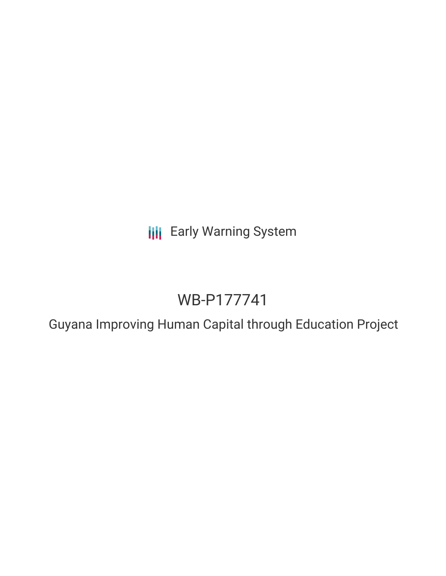**III** Early Warning System

# WB-P177741

Guyana Improving Human Capital through Education Project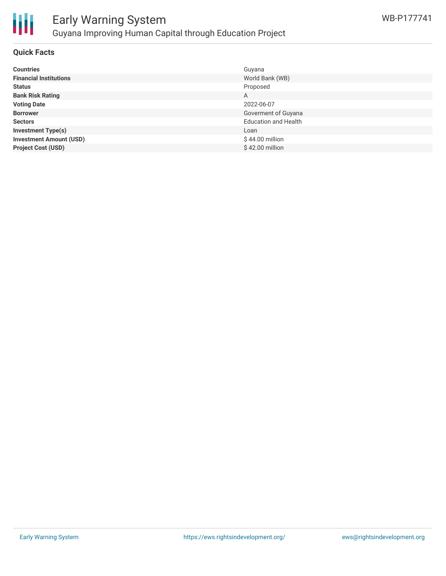

## Early Warning System Guyana Improving Human Capital through Education Project

#### **Quick Facts**

| <b>Countries</b>               | Guyana                      |
|--------------------------------|-----------------------------|
| <b>Financial Institutions</b>  | World Bank (WB)             |
| <b>Status</b>                  | Proposed                    |
| <b>Bank Risk Rating</b>        | A                           |
| <b>Voting Date</b>             | 2022-06-07                  |
| <b>Borrower</b>                | Goverment of Guyana         |
| <b>Sectors</b>                 | <b>Education and Health</b> |
| <b>Investment Type(s)</b>      | Loan                        |
| <b>Investment Amount (USD)</b> | \$44.00 million             |
| <b>Project Cost (USD)</b>      | \$42.00 million             |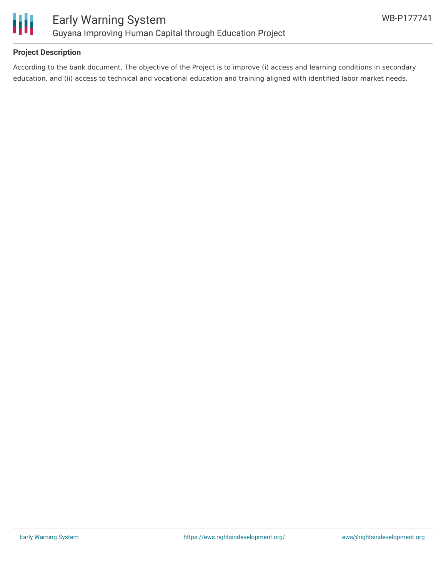

### **Project Description**

According to the bank document, The objective of the Project is to improve (i) access and learning conditions in secondary education, and (ii) access to technical and vocational education and training aligned with identified labor market needs.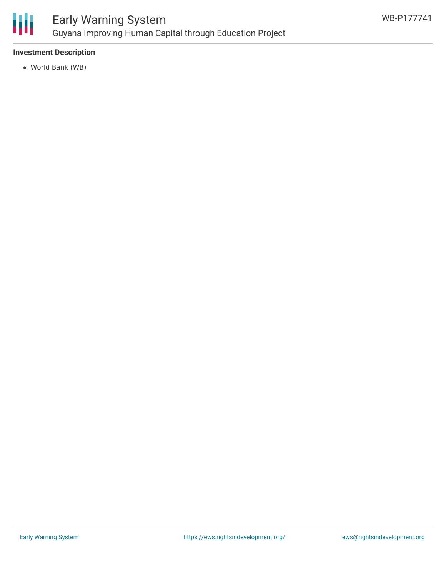

## Early Warning System Guyana Improving Human Capital through Education Project

### **Investment Description**

World Bank (WB)